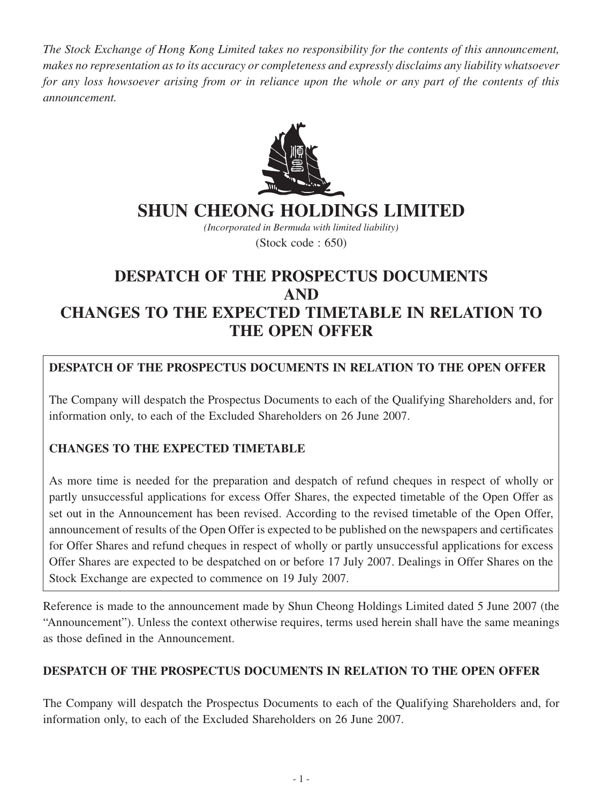*The Stock Exchange of Hong Kong Limited takes no responsibility for the contents of this announcement, makes no representation as to its accuracy or completeness and expressly disclaims any liability whatsoever for any loss howsoever arising from or in reliance upon the whole or any part of the contents of this announcement.*



# **SHUN CHEONG HOLDINGS LIMITED**

*(Incorporated in Bermuda with limited liability)* (Stock code : 650)

## **DESPATCH OF THE PROSPECTUS DOCUMENTS AND CHANGES TO THE EXPECTED TIMETABLE IN RELATION TO THE OPEN OFFER**

## **DESPATCH OF THE PROSPECTUS DOCUMENTS IN RELATION TO THE OPEN OFFER**

The Company will despatch the Prospectus Documents to each of the Qualifying Shareholders and, for information only, to each of the Excluded Shareholders on 26 June 2007.

## **CHANGES TO THE EXPECTED TIMETABLE**

As more time is needed for the preparation and despatch of refund cheques in respect of wholly or partly unsuccessful applications for excess Offer Shares, the expected timetable of the Open Offer as set out in the Announcement has been revised. According to the revised timetable of the Open Offer, announcement of results of the Open Offer is expected to be published on the newspapers and certificates for Offer Shares and refund cheques in respect of wholly or partly unsuccessful applications for excess Offer Shares are expected to be despatched on or before 17 July 2007. Dealings in Offer Shares on the Stock Exchange are expected to commence on 19 July 2007.

Reference is made to the announcement made by Shun Cheong Holdings Limited dated 5 June 2007 (the "Announcement"). Unless the context otherwise requires, terms used herein shall have the same meanings as those defined in the Announcement.

### **DESPATCH OF THE PROSPECTUS DOCUMENTS IN RELATION TO THE OPEN OFFER**

The Company will despatch the Prospectus Documents to each of the Qualifying Shareholders and, for information only, to each of the Excluded Shareholders on 26 June 2007.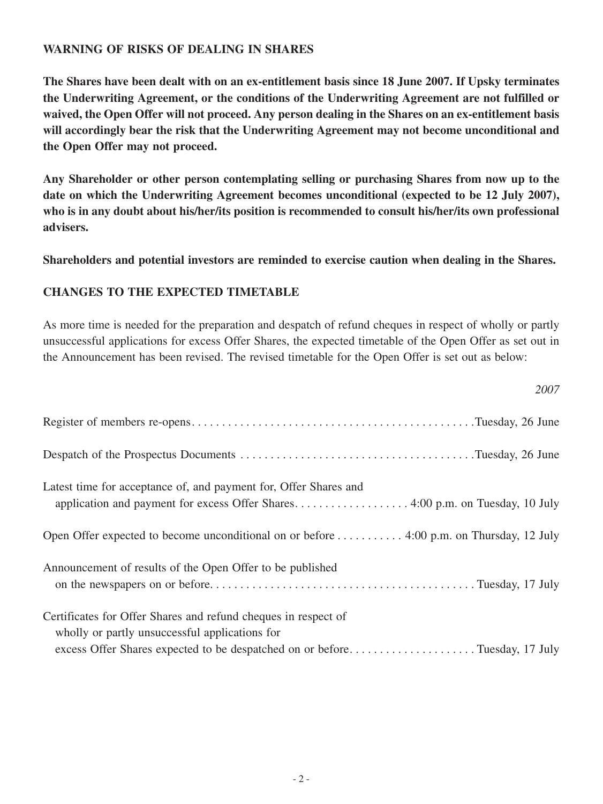### **WARNING OF RISKS OF DEALING IN SHARES**

**The Shares have been dealt with on an ex-entitlement basis since 18 June 2007. If Upsky terminates the Underwriting Agreement, or the conditions of the Underwriting Agreement are not fulfilled or waived, the Open Offer will not proceed. Any person dealing in the Shares on an ex-entitlement basis will accordingly bear the risk that the Underwriting Agreement may not become unconditional and the Open Offer may not proceed.**

**Any Shareholder or other person contemplating selling or purchasing Shares from now up to the date on which the Underwriting Agreement becomes unconditional (expected to be 12 July 2007), who is in any doubt about his/her/its position is recommended to consult his/her/its own professional advisers.**

**Shareholders and potential investors are reminded to exercise caution when dealing in the Shares.**

#### **CHANGES TO THE EXPECTED TIMETABLE**

As more time is needed for the preparation and despatch of refund cheques in respect of wholly or partly unsuccessful applications for excess Offer Shares, the expected timetable of the Open Offer as set out in the Announcement has been revised. The revised timetable for the Open Offer is set out as below:

*2007*

|                                                                                                                                                                                                | $\angle UUI$ |
|------------------------------------------------------------------------------------------------------------------------------------------------------------------------------------------------|--------------|
|                                                                                                                                                                                                |              |
|                                                                                                                                                                                                |              |
| Latest time for acceptance of, and payment for, Offer Shares and                                                                                                                               |              |
| Open Offer expected to become unconditional on or before 4:00 p.m. on Thursday, 12 July                                                                                                        |              |
| Announcement of results of the Open Offer to be published                                                                                                                                      |              |
| Certificates for Offer Shares and refund cheques in respect of<br>wholly or partly unsuccessful applications for<br>excess Offer Shares expected to be despatched on or beforeTuesday, 17 July |              |